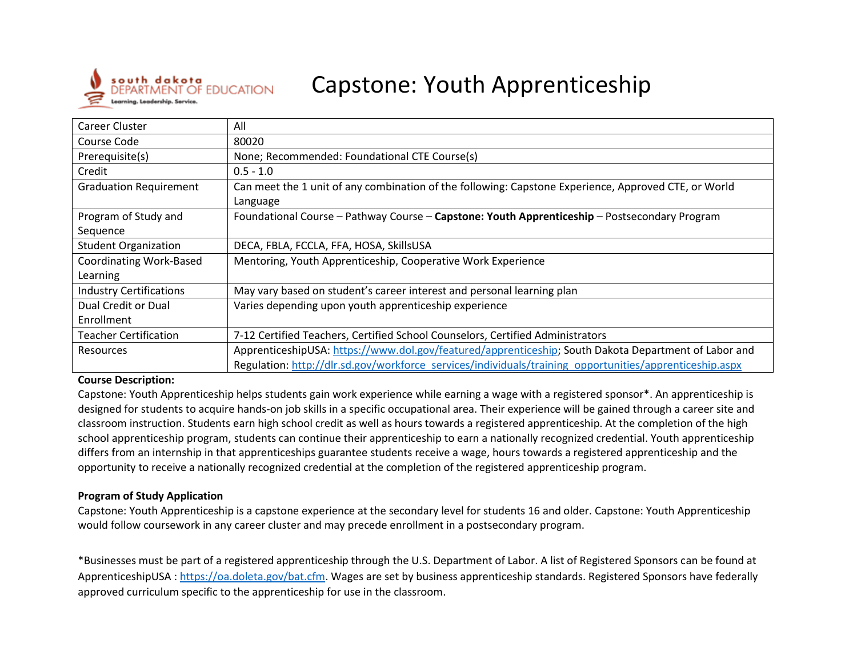

# Capstone: Youth Apprenticeship

| Career Cluster                 | All                                                                                                     |
|--------------------------------|---------------------------------------------------------------------------------------------------------|
| Course Code                    | 80020                                                                                                   |
| Prerequisite(s)                | None; Recommended: Foundational CTE Course(s)                                                           |
| Credit                         | $0.5 - 1.0$                                                                                             |
| <b>Graduation Requirement</b>  | Can meet the 1 unit of any combination of the following: Capstone Experience, Approved CTE, or World    |
|                                | Language                                                                                                |
| Program of Study and           | Foundational Course - Pathway Course - Capstone: Youth Apprenticeship - Postsecondary Program           |
| Sequence                       |                                                                                                         |
| <b>Student Organization</b>    | DECA, FBLA, FCCLA, FFA, HOSA, SkillsUSA                                                                 |
| <b>Coordinating Work-Based</b> | Mentoring, Youth Apprenticeship, Cooperative Work Experience                                            |
| Learning                       |                                                                                                         |
| <b>Industry Certifications</b> | May vary based on student's career interest and personal learning plan                                  |
| Dual Credit or Dual            | Varies depending upon youth apprenticeship experience                                                   |
| Enrollment                     |                                                                                                         |
| <b>Teacher Certification</b>   | 7-12 Certified Teachers, Certified School Counselors, Certified Administrators                          |
| <b>Resources</b>               | ApprenticeshipUSA: https://www.dol.gov/featured/apprenticeship; South Dakota Department of Labor and    |
|                                | Regulation: http://dlr.sd.gov/workforce_services/individuals/training_opportunities/apprenticeship.aspx |

#### **Course Description:**

Capstone: Youth Apprenticeship helps students gain work experience while earning a wage with a registered sponsor\*. An apprenticeship is designed for students to acquire hands-on job skills in a specific occupational area. Their experience will be gained through a career site and classroom instruction. Students earn high school credit as well as hours towards a registered apprenticeship. At the completion of the high school apprenticeship program, students can continue their apprenticeship to earn a nationally recognized credential. Youth apprenticeship differs from an internship in that apprenticeships guarantee students receive a wage, hours towards a registered apprenticeship and the opportunity to receive a nationally recognized credential at the completion of the registered apprenticeship program.

#### **Program of Study Application**

Capstone: Youth Apprenticeship is a capstone experience at the secondary level for students 16 and older. Capstone: Youth Apprenticeship would follow coursework in any career cluster and may precede enrollment in a postsecondary program.

\*Businesses must be part of a registered apprenticeship through the U.S. Department of Labor. A list of Registered Sponsors can be found at ApprenticeshipUSA : [https://oa.doleta.gov/bat.cfm.](https://oa.doleta.gov/bat.cfm) Wages are set by business apprenticeship standards. Registered Sponsors have federally approved curriculum specific to the apprenticeship for use in the classroom.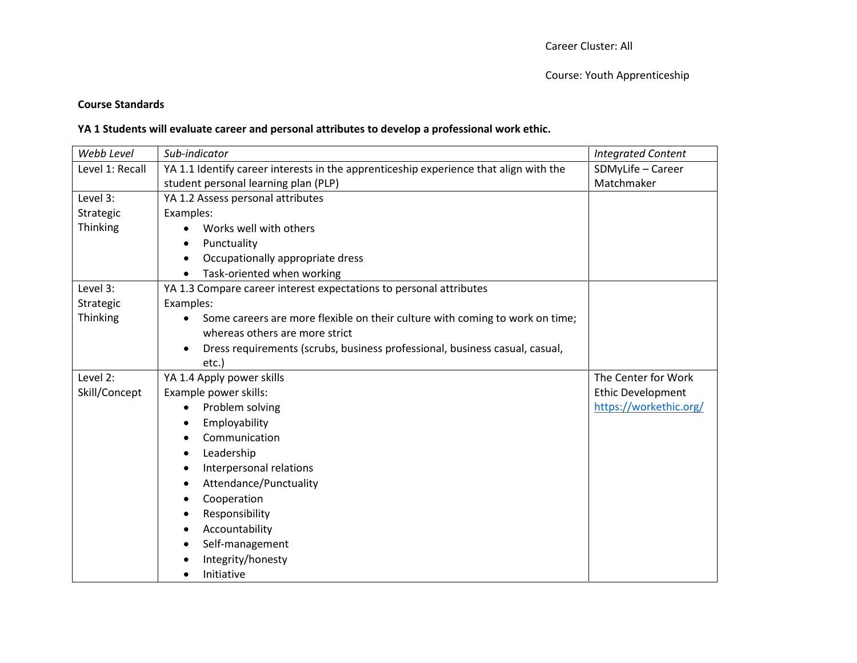#### **Course Standards**

## **YA 1 Students will evaluate career and personal attributes to develop a professional work ethic.**

| Webb Level      | Sub-indicator                                                                             | <b>Integrated Content</b> |
|-----------------|-------------------------------------------------------------------------------------------|---------------------------|
| Level 1: Recall | YA 1.1 Identify career interests in the apprenticeship experience that align with the     | SDMyLife - Career         |
|                 | student personal learning plan (PLP)                                                      | Matchmaker                |
| Level 3:        | YA 1.2 Assess personal attributes                                                         |                           |
| Strategic       | Examples:                                                                                 |                           |
| Thinking        | Works well with others                                                                    |                           |
|                 | Punctuality                                                                               |                           |
|                 | Occupationally appropriate dress                                                          |                           |
|                 | Task-oriented when working                                                                |                           |
| Level 3:        | YA 1.3 Compare career interest expectations to personal attributes                        |                           |
| Strategic       | Examples:                                                                                 |                           |
| Thinking        | Some careers are more flexible on their culture with coming to work on time;<br>$\bullet$ |                           |
|                 | whereas others are more strict                                                            |                           |
|                 | Dress requirements (scrubs, business professional, business casual, casual,               |                           |
|                 | etc.)                                                                                     |                           |
| Level 2:        | YA 1.4 Apply power skills                                                                 | The Center for Work       |
| Skill/Concept   | Example power skills:                                                                     | <b>Ethic Development</b>  |
|                 | Problem solving                                                                           | https://workethic.org/    |
|                 | Employability<br>$\bullet$                                                                |                           |
|                 | Communication                                                                             |                           |
|                 | Leadership                                                                                |                           |
|                 | Interpersonal relations                                                                   |                           |
|                 | Attendance/Punctuality                                                                    |                           |
|                 | Cooperation<br>$\bullet$                                                                  |                           |
|                 | Responsibility                                                                            |                           |
|                 | Accountability<br>٠                                                                       |                           |
|                 | Self-management                                                                           |                           |
|                 | Integrity/honesty                                                                         |                           |
|                 | Initiative                                                                                |                           |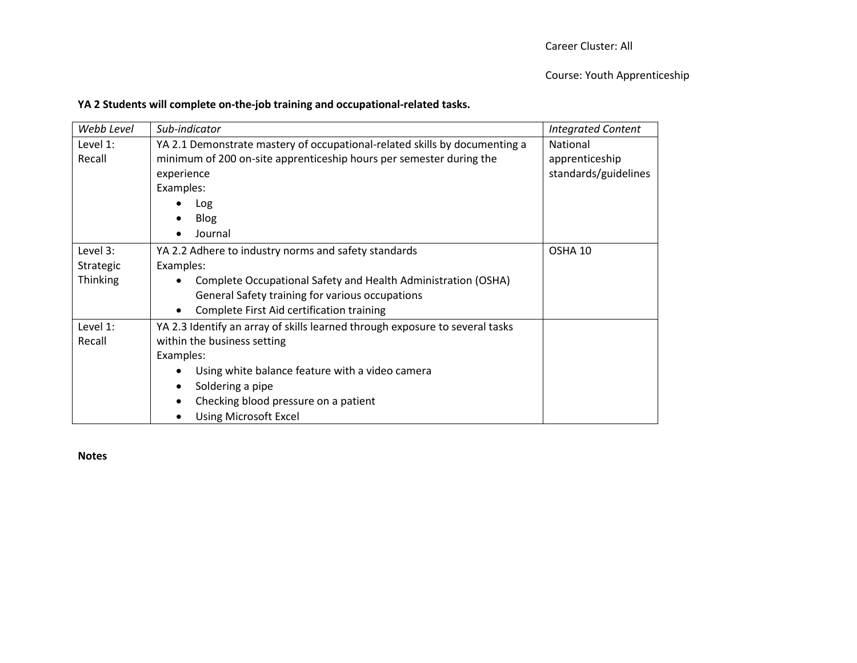## **YA 2 Students will complete on-the-job training and occupational-related tasks.**

| Webb Level      | Sub-indicator                                                                | <b>Integrated Content</b> |
|-----------------|------------------------------------------------------------------------------|---------------------------|
| Level 1:        | YA 2.1 Demonstrate mastery of occupational-related skills by documenting a   | National                  |
| Recall          | minimum of 200 on-site apprenticeship hours per semester during the          | apprenticeship            |
|                 | experience                                                                   | standards/guidelines      |
|                 | Examples:                                                                    |                           |
|                 | Log                                                                          |                           |
|                 | <b>Blog</b><br>٠                                                             |                           |
|                 | Journal                                                                      |                           |
| Level 3:        | YA 2.2 Adhere to industry norms and safety standards                         | OSHA 10                   |
| Strategic       | Examples:                                                                    |                           |
| <b>Thinking</b> | Complete Occupational Safety and Health Administration (OSHA)                |                           |
|                 | General Safety training for various occupations                              |                           |
|                 | Complete First Aid certification training<br>$\bullet$                       |                           |
| Level 1:        | YA 2.3 Identify an array of skills learned through exposure to several tasks |                           |
| Recall          | within the business setting                                                  |                           |
|                 | Examples:                                                                    |                           |
|                 | Using white balance feature with a video camera<br>٠                         |                           |
|                 | Soldering a pipe<br>٠                                                        |                           |
|                 | Checking blood pressure on a patient                                         |                           |
|                 | <b>Using Microsoft Excel</b>                                                 |                           |

**Notes**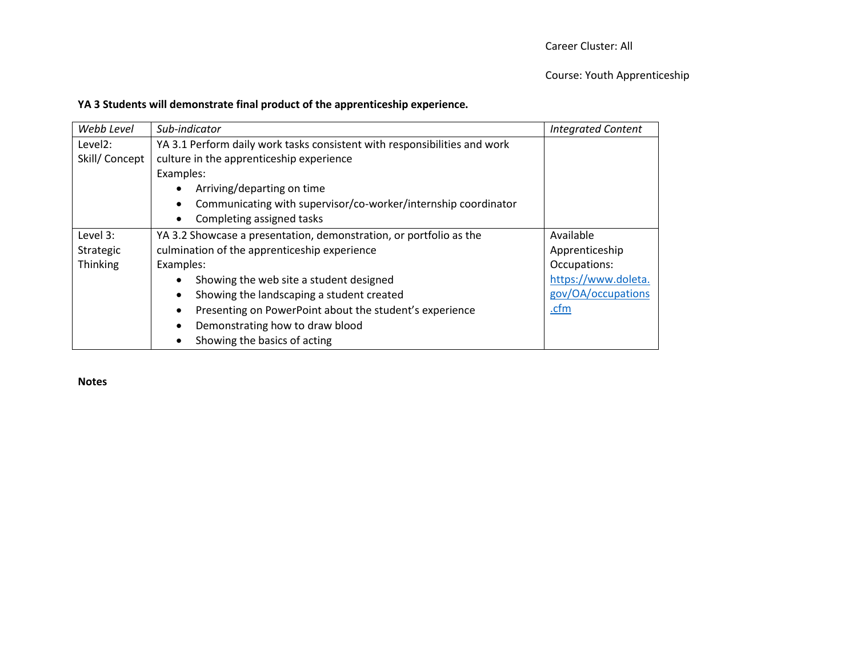## **YA 3 Students will demonstrate final product of the apprenticeship experience.**

| Webb Level          | Sub-indicator                                                               | <b>Integrated Content</b> |
|---------------------|-----------------------------------------------------------------------------|---------------------------|
| Level <sub>2:</sub> | YA 3.1 Perform daily work tasks consistent with responsibilities and work   |                           |
| Skill/Concept       | culture in the apprenticeship experience                                    |                           |
|                     | Examples:                                                                   |                           |
|                     | Arriving/departing on time<br>$\bullet$                                     |                           |
|                     | Communicating with supervisor/co-worker/internship coordinator<br>$\bullet$ |                           |
|                     | Completing assigned tasks<br>$\bullet$                                      |                           |
| Level 3:            | YA 3.2 Showcase a presentation, demonstration, or portfolio as the          | Available                 |
| Strategic           | culmination of the apprenticeship experience                                | Apprenticeship            |
| Thinking            | Examples:                                                                   | Occupations:              |
|                     | Showing the web site a student designed<br>$\bullet$                        | https://www.doleta.       |
|                     | Showing the landscaping a student created<br>٠                              | gov/OA/occupations        |
|                     | Presenting on PowerPoint about the student's experience<br>٠                | .cfm                      |
|                     | Demonstrating how to draw blood                                             |                           |
|                     | Showing the basics of acting                                                |                           |

**Notes**